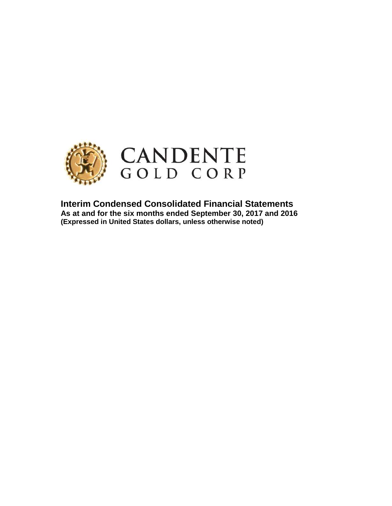

**Interim Condensed Consolidated Financial Statements As at and for the six months ended September 30, 2017 and 2016 (Expressed in United States dollars, unless otherwise noted)**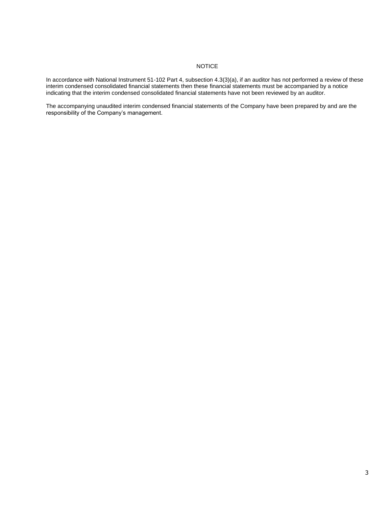## NOTICE

In accordance with National Instrument 51-102 Part 4, subsection 4.3(3)(a), if an auditor has not performed a review of these interim condensed consolidated financial statements then these financial statements must be accompanied by a notice indicating that the interim condensed consolidated financial statements have not been reviewed by an auditor.

The accompanying unaudited interim condensed financial statements of the Company have been prepared by and are the responsibility of the Company's management.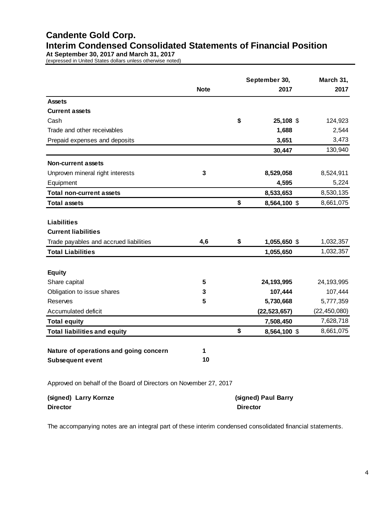# **Candente Gold Corp. Interim Condensed Consolidated Statements of Financial Position**

**At September 30, 2017 and March 31, 2017**

(expressed in United States dollars unless otherwise noted)

|                                                                   |             |    | September 30,  |  | March 31,      |
|-------------------------------------------------------------------|-------------|----|----------------|--|----------------|
|                                                                   | <b>Note</b> |    |                |  | 2017           |
| <b>Assets</b>                                                     |             |    |                |  |                |
| <b>Current assets</b>                                             |             |    |                |  |                |
| Cash                                                              |             | \$ | 25,108 \$      |  | 124,923        |
| Trade and other receivables                                       |             |    | 1,688          |  | 2,544          |
| Prepaid expenses and deposits                                     |             |    | 3,651          |  | 3,473          |
|                                                                   |             |    | 30,447         |  | 130,940        |
| <b>Non-current assets</b>                                         |             |    |                |  |                |
| Unproven mineral right interests                                  | 3           |    | 8,529,058      |  | 8,524,911      |
| Equipment                                                         |             |    | 4,595          |  | 5,224          |
| <b>Total non-current assets</b>                                   |             |    | 8,533,653      |  | 8,530,135      |
| <b>Total assets</b>                                               |             | \$ | 8,564,100 \$   |  | 8,661,075      |
|                                                                   |             |    |                |  |                |
| <b>Liabilities</b>                                                |             |    |                |  |                |
| <b>Current liabilities</b>                                        |             |    |                |  |                |
| Trade payables and accrued liabilities                            | 4,6         | \$ | 1,055,650 \$   |  | 1,032,357      |
| <b>Total Liabilities</b>                                          |             |    | 1,055,650      |  | 1,032,357      |
| <b>Equity</b>                                                     |             |    |                |  |                |
| Share capital                                                     | 5           |    | 24, 193, 995   |  | 24, 193, 995   |
| Obligation to issue shares                                        | 3           |    | 107,444        |  | 107,444        |
| Reserves                                                          | 5           |    | 5,730,668      |  | 5,777,359      |
| Accumulated deficit                                               |             |    | (22, 523, 657) |  | (22, 450, 080) |
| <b>Total equity</b>                                               |             |    | 7,508,450      |  | 7,628,718      |
| <b>Total liabilities and equity</b>                               |             | \$ | 8,564,100 \$   |  | 8,661,075      |
|                                                                   |             |    |                |  |                |
| Nature of operations and going concern                            | 1           |    |                |  |                |
| <b>Subsequent event</b>                                           | 10          |    |                |  |                |
|                                                                   |             |    |                |  |                |
| Approved on behalf of the Board of Directors on November 27, 2017 |             |    |                |  |                |

**(signed) Larry Kornze Director Director (signed) Paul Barry**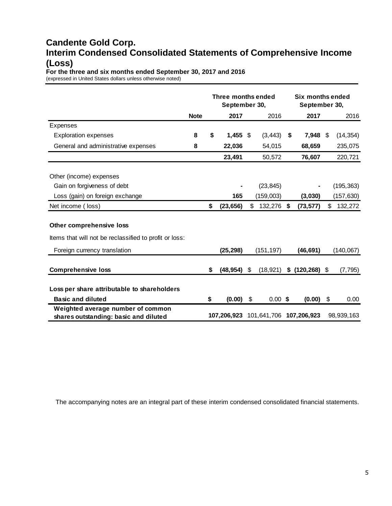# **Candente Gold Corp. Interim Condensed Consolidated Statements of Comprehensive Income (Loss)**

**For the three and six months ended September 30, 2017 and 2016** (expressed in United States dollars unless otherwise noted)

|                                                                            |             | Three months ended<br>September 30, |             |    | Six months ended<br>September 30, |    |                                     |    |            |
|----------------------------------------------------------------------------|-------------|-------------------------------------|-------------|----|-----------------------------------|----|-------------------------------------|----|------------|
|                                                                            | <b>Note</b> |                                     | 2017        |    | 2016                              |    | 2017                                |    | 2016       |
| Expenses                                                                   |             |                                     |             |    |                                   |    |                                     |    |            |
| <b>Exploration expenses</b>                                                | 8           | \$                                  | $1,455$ \$  |    | (3, 443)                          | \$ | $7,948$ \$                          |    | (14, 354)  |
| General and administrative expenses                                        | 8           |                                     | 22,036      |    | 54,015                            |    | 68,659                              |    | 235,075    |
|                                                                            |             |                                     | 23,491      |    | 50,572                            |    | 76,607                              |    | 220,721    |
|                                                                            |             |                                     |             |    |                                   |    |                                     |    |            |
| Other (income) expenses                                                    |             |                                     |             |    |                                   |    |                                     |    |            |
| Gain on forgiveness of debt                                                |             |                                     |             |    | (23, 845)                         |    |                                     |    | (195, 363) |
| Loss (gain) on foreign exchange                                            |             |                                     | 165         |    | (159,003)                         |    | (3,030)                             |    | (157, 630) |
| Net income (loss)                                                          |             | \$                                  | (23, 656)   | \$ | 132,276                           | \$ | (73, 577)                           | \$ | 132,272    |
| Other comprehensive loss                                                   |             |                                     |             |    |                                   |    |                                     |    |            |
| Items that will not be reclassified to profit or loss:                     |             |                                     |             |    |                                   |    |                                     |    |            |
| Foreign currency translation                                               |             |                                     | (25, 298)   |    | (151, 197)                        |    | (46, 691)                           |    | (140, 067) |
| <b>Comprehensive loss</b>                                                  |             | \$                                  | (48, 954)   | \$ | (18, 921)                         |    | $$$ (120,268) $$$                   |    | (7, 795)   |
| Loss per share attributable to shareholders                                |             |                                     |             |    |                                   |    |                                     |    |            |
| <b>Basic and diluted</b>                                                   |             | \$                                  | $(0.00)$ \$ |    | $0.00$ \$                         |    | (0.00)                              | \$ | 0.00       |
| Weighted average number of common<br>shares outstanding: basic and diluted |             |                                     |             |    |                                   |    | 107,206,923 101,641,706 107,206,923 |    | 98,939,163 |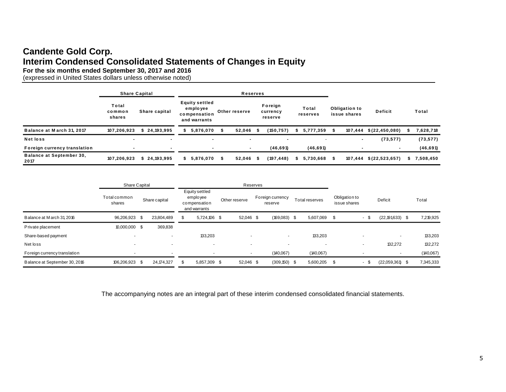# **Candente Gold Corp. Interim Condensed Consolidated Statements of Changes in Equity**

| ווונטוווו סטוומטווטט וסטווטטווממנטט טנמנטוווטוונט טו טוומוואַטט ווו בקמת א<br>For the six months ended September 30, 2017 and 2016<br>(expressed in United States dollars unless otherwise noted) |                           |                      |                                                                   |                |                      |      |                                |    |                   |                               |                        |    |           |
|---------------------------------------------------------------------------------------------------------------------------------------------------------------------------------------------------|---------------------------|----------------------|-------------------------------------------------------------------|----------------|----------------------|------|--------------------------------|----|-------------------|-------------------------------|------------------------|----|-----------|
|                                                                                                                                                                                                   |                           | <b>Share Capital</b> |                                                                   |                | <b>Reserves</b>      |      |                                |    |                   |                               |                        |    |           |
|                                                                                                                                                                                                   | Total<br>common<br>shares | Share capital        | <b>Equity settled</b><br>employee<br>compensation<br>and warrants |                | Other reserve        |      | Foreign<br>currency<br>reserve |    | Total<br>reserves | Obligation to<br>issue shares | <b>Deficit</b>         |    | Total     |
| Balance at March 31, 2017                                                                                                                                                                         | 107,206,923               | \$24,193,995         | 5,876,070                                                         |                | 52,046               | - 55 | (150, 757)                     | S. | 5,777,359         | 107,444                       | \$(22, 450, 080)       |    | 7,628,718 |
| <b>Netloss</b>                                                                                                                                                                                    |                           |                      |                                                                   | $\blacksquare$ |                      |      |                                |    |                   |                               | (73, 577)              |    | (73, 577) |
| Foreign currency translation                                                                                                                                                                      |                           |                      |                                                                   |                |                      |      | (46, 691)                      |    | (46, 691)         |                               |                        |    | (46, 691) |
| <b>Balance at September 30.</b><br>2017                                                                                                                                                           | 107,206,923               | \$24,193,995         | 5,876,070<br>\$                                                   |                | 52,046<br>$^{\circ}$ | - 5  | (197, 448)                     | \$ | 5,730,668         | - \$                          | 107,444 \$(22,523,657) | s. | 7,508,450 |
|                                                                                                                                                                                                   |                           |                      |                                                                   |                |                      |      |                                |    |                   |                               |                        |    |           |

|                               | Share Capital            |      |               | Reserves |                                                             |               |  |                             |                |                               |      |                          |           |
|-------------------------------|--------------------------|------|---------------|----------|-------------------------------------------------------------|---------------|--|-----------------------------|----------------|-------------------------------|------|--------------------------|-----------|
|                               | Total common<br>shares   |      | Share capital |          | Equity settled<br>emplo yee<br>compensation<br>and warrants | Other reserve |  | Foreign currency<br>reserve | Total reserves | Obligation to<br>issue shares |      | <b>Deficit</b>           | Total     |
| Balance at March 31, 2016     | 96,206,923               | - \$ | 23,804,489    | -SS      | 5,724,106 \$                                                | 52,046 \$     |  | $(169,083)$ \$              | 5,607,069 \$   |                               | - \$ | $(22, 191, 633)$ \$      | 7,219,925 |
| Private placement             | 10,000,000 \$            |      | 369,838       |          |                                                             |               |  |                             |                |                               |      |                          |           |
| Share-based payment           | ۰                        |      | . .           |          | 133,203                                                     |               |  | $\sim$                      | 133,203        |                               |      | $\overline{\phantom{a}}$ | 133,203   |
| Net loss                      | $\overline{\phantom{a}}$ |      |               |          |                                                             |               |  |                             |                |                               |      | 132,272                  | 132,272   |
| Foreign currency translation  |                          |      |               |          | $\sim$                                                      |               |  | (140,067)                   | (140,067)      |                               |      |                          | (40,067)  |
| Balance at September 30, 2016 | 106,206,923              | - \$ | 24, 174, 327  |          | 5,857,309 \$                                                | 52,046 \$     |  | $(309, 150)$ \$             | 5,600,205 \$   |                               | - \$ | $(22,059,361)$ \$        | 7,345,333 |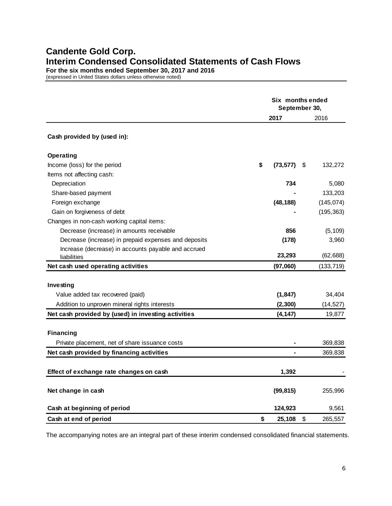# **Candente Gold Corp. Interim Condensed Consolidated Statements of Cash Flows**

**For the six months ended September 30, 2017 and 2016**

(expressed in United States dollars unless otherwise noted)

|                                                      | Six months ended<br>September 30, |      |            |  |  |
|------------------------------------------------------|-----------------------------------|------|------------|--|--|
|                                                      | 2017                              |      | 2016       |  |  |
| Cash provided by (used in):                          |                                   |      |            |  |  |
| Operating                                            |                                   |      |            |  |  |
| Income (loss) for the period                         | \$<br>(73, 577)                   | - \$ | 132,272    |  |  |
| Items not affecting cash:                            |                                   |      |            |  |  |
| Depreciation                                         | 734                               |      | 5,080      |  |  |
| Share-based payment                                  |                                   |      | 133,203    |  |  |
| Foreign exchange                                     | (48, 188)                         |      | (145, 074) |  |  |
| Gain on forgiveness of debt                          |                                   |      | (195, 363) |  |  |
| Changes in non-cash working capital items:           |                                   |      |            |  |  |
| Decrease (increase) in amounts receivable            | 856                               |      | (5, 109)   |  |  |
| Decrease (increase) in prepaid expenses and deposits | (178)                             |      | 3,960      |  |  |
| Increase (decrease) in accounts payable and accrued  |                                   |      |            |  |  |
| liabilities                                          | 23,293                            |      | (62, 688)  |  |  |
| Net cash used operating activities                   | (97,060)                          |      | (133, 719) |  |  |
|                                                      |                                   |      |            |  |  |
| Investing                                            |                                   |      |            |  |  |
| Value added tax recovered (paid)                     | (1, 847)                          |      | 34,404     |  |  |
| Addition to unproven mineral rights interests        | (2, 300)                          |      | (14, 527)  |  |  |
| Net cash provided by (used) in investing activities  | (4, 147)                          |      | 19,877     |  |  |
|                                                      |                                   |      |            |  |  |
| <b>Financing</b>                                     |                                   |      |            |  |  |
| Private placement, net of share issuance costs       |                                   |      | 369,838    |  |  |
| Net cash provided by financing activities            |                                   |      | 369,838    |  |  |
|                                                      |                                   |      |            |  |  |
| Effect of exchange rate changes on cash              | 1,392                             |      |            |  |  |
| Net change in cash                                   | (99, 815)                         |      | 255,996    |  |  |
| Cash at beginning of period                          | 124,923                           |      | 9,561      |  |  |
| Cash at end of period                                | \$<br>25,108                      | \$   | 265,557    |  |  |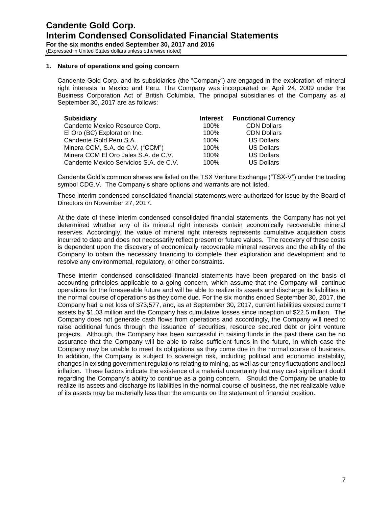## **1. Nature of operations and going concern**

Candente Gold Corp. and its subsidiaries (the "Company") are engaged in the exploration of mineral right interests in Mexico and Peru. The Company was incorporated on April 24, 2009 under the Business Corporation Act of British Columbia. The principal subsidiaries of the Company as at September 30, 2017 are as follows:

| <b>Subsidiary</b>                      | <b>Interest</b> | <b>Functional Currency</b> |
|----------------------------------------|-----------------|----------------------------|
| Candente Mexico Resource Corp.         | 100%            | <b>CDN Dollars</b>         |
| El Oro (BC) Exploration Inc.           | 100%            | <b>CDN Dollars</b>         |
| Candente Gold Peru S.A.                | 100%            | <b>US Dollars</b>          |
| Minera CCM, S.A. de C.V. ("CCM")       | 100%            | <b>US Dollars</b>          |
| Minera CCM El Oro Jales S.A. de C.V.   | 100%            | <b>US Dollars</b>          |
| Candente Mexico Servicios S.A. de C.V. | 100%            | <b>US Dollars</b>          |

Candente Gold's common shares are listed on the TSX Venture Exchange ("TSX-V") under the trading symbol CDG.V. The Company's share options and warrants are not listed.

These interim condensed consolidated financial statements were authorized for issue by the Board of Directors on November 27, 2017**.**

At the date of these interim condensed consolidated financial statements, the Company has not yet determined whether any of its mineral right interests contain economically recoverable mineral reserves. Accordingly, the value of mineral right interests represents cumulative acquisition costs incurred to date and does not necessarily reflect present or future values. The recovery of these costs is dependent upon the discovery of economically recoverable mineral reserves and the ability of the Company to obtain the necessary financing to complete their exploration and development and to resolve any environmental, regulatory, or other constraints.

These interim condensed consolidated financial statements have been prepared on the basis of accounting principles applicable to a going concern, which assume that the Company will continue operations for the foreseeable future and will be able to realize its assets and discharge its liabilities in the normal course of operations as they come due. For the six months ended September 30, 2017, the Company had a net loss of \$73,577, and, as at September 30, 2017, current liabilities exceed current assets by \$1.03 million and the Company has cumulative losses since inception of \$22.5 million. The Company does not generate cash flows from operations and accordingly, the Company will need to raise additional funds through the issuance of securities, resource secured debt or joint venture projects. Although, the Company has been successful in raising funds in the past there can be no assurance that the Company will be able to raise sufficient funds in the future, in which case the Company may be unable to meet its obligations as they come due in the normal course of business. In addition, the Company is subject to sovereign risk, including political and economic instability, changes in existing government regulations relating to mining, as well as currency fluctuations and local inflation. These factors indicate the existence of a material uncertainty that may cast significant doubt regarding the Company's ability to continue as a going concern. Should the Company be unable to realize its assets and discharge its liabilities in the normal course of business, the net realizable value of its assets may be materially less than the amounts on the statement of financial position.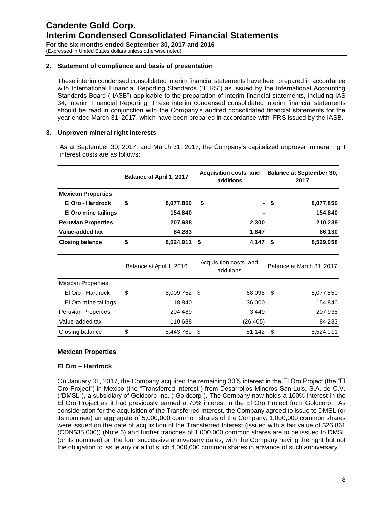## **2. Statement of compliance and basis of presentation**

These interim condensed consolidated interim financial statements have been prepared in accordance with International Financial Reporting Standards ("IFRS") as issued by the International Accounting Standards Board ("IASB") applicable to the preparation of interim financial statements, including IAS 34, Interim Financial Reporting. These interim condensed consolidated interim financial statements should be read in conjunction with the Company's audited consolidated financial statements for the year ended March 31, 2017, which have been prepared in accordance with IFRS issued by the IASB.

## **3. Unproven mineral right interests**

As at September 30, 2017, and March 31, 2017, the Company's capitalized unproven mineral right interest costs are as follows:

|                            | Balance at April 1, 2017 |    | <b>Acquisition costs and</b><br>additions | <b>Balance at September 30,</b><br>2017 |                           |  |
|----------------------------|--------------------------|----|-------------------------------------------|-----------------------------------------|---------------------------|--|
| <b>Mexican Properties</b>  |                          |    |                                           |                                         |                           |  |
| El Oro - Hardrock          | \$<br>8,077,850          | \$ |                                           | \$                                      | 8,077,850                 |  |
| El Oro mine tailings       | 154,840                  |    |                                           |                                         | 154,840                   |  |
| <b>Peruvian Properties</b> | 207,938                  |    | 2,300                                     |                                         | 210,238                   |  |
| Value-added tax            | 84,283                   |    | 1,847                                     |                                         | 86,130                    |  |
| <b>Closing balance</b>     | \$<br>8,524,911          | \$ | 4,147                                     | S.                                      | 8,529,058                 |  |
|                            |                          |    |                                           |                                         |                           |  |
|                            | Balance at April 1, 2016 |    | Acquisition costs and<br>additions        |                                         | Balance at March 31, 2017 |  |
| <b>Mexican Properties</b>  |                          |    |                                           |                                         |                           |  |
| El Oro - Hardrock          | \$<br>8,009,752          | -S | 68,098                                    | -\$                                     | 8,077,850                 |  |
| El Oro mine tailings       | 118,840                  |    | 36,000                                    |                                         | 154,840                   |  |
| <b>Peruvian Properties</b> | 204,489                  |    | 3,449                                     |                                         | 207,938                   |  |
| Value-added tax            | 110,688                  |    | (26, 405)                                 |                                         | 84,283                    |  |
| Closing balance            | \$<br>8,443,769          | \$ | 81,142                                    | \$                                      | 8,524,911                 |  |

## **Mexican Properties**

## **El Oro – Hardrock**

On January 31, 2017, the Company acquired the remaining 30% interest in the El Oro Project (the "El Oro Project") in Mexico (the "Transferred Interest") from Desarrollos Mineros San Luis, S.A. de C.V. ("DMSL"), a subsidiary of Goldcorp Inc. ("Goldcorp"). The Company now holds a 100% interest in the El Oro Project as it had previously earned a 70% interest in the El Oro Project from Goldcorp. As consideration for the acquisition of the Transferred Interest, the Company agreed to issue to DMSL (or its nominee) an aggregate of 5,000,000 common shares of the Company. 1,000,000 common shares were issued on the date of acquisition of the Transferred Interest (issued with a fair value of \$26,861 (CDN\$35,000)) (Note 6) and further tranches of 1,000,000 common shares are to be issued to DMSL (or its nominee) on the four successive anniversary dates, with the Company having the right but not the obligation to issue any or all of such 4,000,000 common shares in advance of such anniversary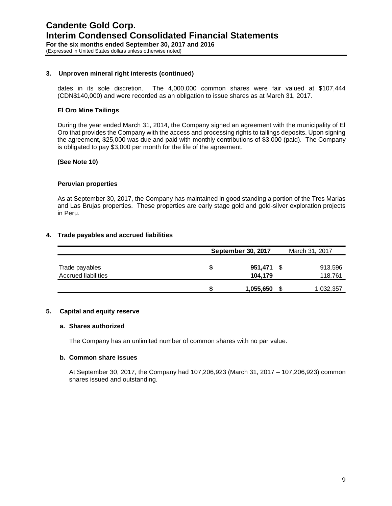## **3. Unproven mineral right interests (continued)**

dates in its sole discretion. The 4,000,000 common shares were fair valued at \$107,444 (CDN\$140,000) and were recorded as an obligation to issue shares as at March 31, 2017.

## **El Oro Mine Tailings**

During the year ended March 31, 2014, the Company signed an agreement with the municipality of El Oro that provides the Company with the access and processing rights to tailings deposits. Upon signing the agreement, \$25,000 was due and paid with monthly contributions of \$3,000 (paid). The Company is obligated to pay \$3,000 per month for the life of the agreement.

## **(See Note 10)**

## **Peruvian properties**

As at September 30, 2017, the Company has maintained in good standing a portion of the Tres Marias and Las Brujas properties. These properties are early stage gold and gold-silver exploration projects in Peru.

## **4. Trade payables and accrued liabilities**

|                                              | September 30, 2017 |                    |      | March 31, 2017     |  |  |
|----------------------------------------------|--------------------|--------------------|------|--------------------|--|--|
| Trade payables<br><b>Accrued liabilities</b> | S                  | 951,471<br>104,179 | - \$ | 913,596<br>118,761 |  |  |
|                                              |                    | 1,055,650          |      | 1,032,357          |  |  |

## **5. Capital and equity reserve**

## **a. Shares authorized**

The Company has an unlimited number of common shares with no par value.

## **b. Common share issues**

At September 30, 2017, the Company had 107,206,923 (March 31, 2017 – 107,206,923) common shares issued and outstanding.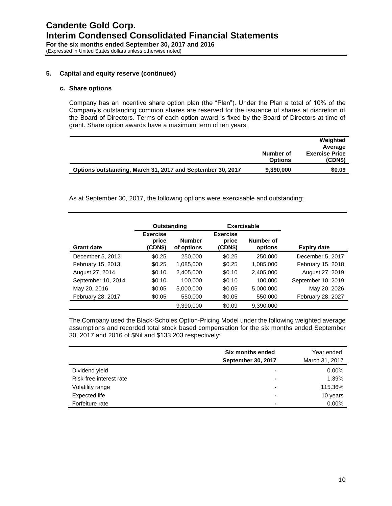## **5. Capital and equity reserve (continued)**

## **c. Share options**

Company has an incentive share option plan (the "Plan"). Under the Plan a total of 10% of the Company's outstanding common shares are reserved for the issuance of shares at discretion of the Board of Directors. Terms of each option award is fixed by the Board of Directors at time of grant. Share option awards have a maximum term of ten years.

|                                                            | Number of<br><b>Options</b> | Weighted<br>Average<br><b>Exercise Price</b><br>(CDN\$) |
|------------------------------------------------------------|-----------------------------|---------------------------------------------------------|
| Options outstanding, March 31, 2017 and September 30, 2017 | 9,390,000                   | \$0.09                                                  |

As at September 30, 2017, the following options were exercisable and outstanding:

|                          | Outstanding                         |                             | <b>Exercisable</b>                  |                      |                          |
|--------------------------|-------------------------------------|-----------------------------|-------------------------------------|----------------------|--------------------------|
| <b>Grant date</b>        | <b>Exercise</b><br>price<br>(CDN\$) | <b>Number</b><br>of options | <b>Exercise</b><br>price<br>(CDN\$) | Number of<br>options | <b>Expiry date</b>       |
| December 5, 2012         | \$0.25                              | 250,000                     | \$0.25                              | 250,000              | December 5, 2017         |
| February 15, 2013        | \$0.25                              | 1,085,000                   | \$0.25                              | 1,085,000            | February 15, 2018        |
| August 27, 2014          | \$0.10                              | 2,405,000                   | \$0.10                              | 2,405,000            | August 27, 2019          |
| September 10, 2014       | \$0.10                              | 100,000                     | \$0.10                              | 100.000              | September 10, 2019       |
| May 20, 2016             | \$0.05                              | 5,000,000                   | \$0.05                              | 5,000,000            | May 20, 2026             |
| <b>February 28, 2017</b> | \$0.05                              | 550,000                     | \$0.05                              | 550,000              | <b>February 28, 2027</b> |
|                          |                                     | 9,390,000                   | \$0.09                              | 9,390,000            |                          |

The Company used the Black-Scholes Option-Pricing Model under the following weighted average assumptions and recorded total stock based compensation for the six months ended September 30, 2017 and 2016 of \$Nil and \$133,203 respectively:

|                         | Six months ended          | Year ended     |
|-------------------------|---------------------------|----------------|
|                         | <b>September 30, 2017</b> | March 31, 2017 |
| Dividend yield          | $\blacksquare$            | 0.00%          |
| Risk-free interest rate | $\blacksquare$            | 1.39%          |
| Volatility range        | $\blacksquare$            | 115.36%        |
| Expected life           | $\blacksquare$            | 10 years       |
| Forfeiture rate         | $\blacksquare$            | 0.00%          |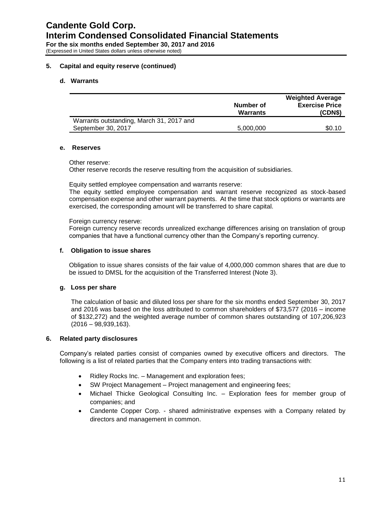## **5. Capital and equity reserve (continued)**

### **d. Warrants**

|                                          | Number of<br><b>Warrants</b> | <b>Weighted Average</b><br><b>Exercise Price</b><br>(CDN\$) |
|------------------------------------------|------------------------------|-------------------------------------------------------------|
| Warrants outstanding, March 31, 2017 and |                              |                                                             |
| September 30, 2017                       | 5,000,000                    | \$0.10                                                      |

### **e. Reserves**

Other reserve:

Other reserve records the reserve resulting from the acquisition of subsidiaries.

Equity settled employee compensation and warrants reserve:

The equity settled employee compensation and warrant reserve recognized as stock-based compensation expense and other warrant payments. At the time that stock options or warrants are exercised, the corresponding amount will be transferred to share capital.

### Foreign currency reserve:

Foreign currency reserve records unrealized exchange differences arising on translation of group companies that have a functional currency other than the Company's reporting currency.

#### **f. Obligation to issue shares**

Obligation to issue shares consists of the fair value of 4,000,000 common shares that are due to be issued to DMSL for the acquisition of the Transferred Interest (Note 3).

## **g. Loss per share**

The calculation of basic and diluted loss per share for the six months ended September 30, 2017 and 2016 was based on the loss attributed to common shareholders of \$73,577 (2016 – income of \$132,272) and the weighted average number of common shares outstanding of 107,206,923 (2016 – 98,939,163).

#### **6. Related party disclosures**

Company's related parties consist of companies owned by executive officers and directors. The following is a list of related parties that the Company enters into trading transactions with:

- Ridley Rocks Inc. Management and exploration fees;
- SW Project Management Project management and engineering fees;
- Michael Thicke Geological Consulting Inc. Exploration fees for member group of companies; and
- Candente Copper Corp. shared administrative expenses with a Company related by directors and management in common.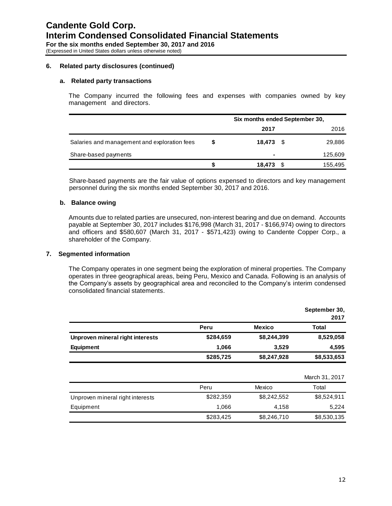#### **6. Related party disclosures (continued)**

#### **a. Related party transactions**

The Company incurred the following fees and expenses with companies owned by key management and directors.

|                                              |   | Six months ended September 30, |  |         |  |  |
|----------------------------------------------|---|--------------------------------|--|---------|--|--|
|                                              |   | 2017                           |  | 2016    |  |  |
| Salaries and management and exploration fees | S | $18.473$ \$                    |  | 29,886  |  |  |
| Share-based payments                         |   | ۰                              |  | 125,609 |  |  |
|                                              |   | 18,473                         |  | 155,495 |  |  |

Share-based payments are the fair value of options expensed to directors and key management personnel during the six months ended September 30, 2017 and 2016.

#### **b. Balance owing**

Amounts due to related parties are unsecured, non-interest bearing and due on demand. Accounts payable at September 30, 2017 includes \$176,998 (March 31, 2017 - \$166,974) owing to directors and officers and \$580,607 (March 31, 2017 - \$571,423) owing to Candente Copper Corp., a shareholder of the Company.

#### **7. Segmented information**

The Company operates in one segment being the exploration of mineral properties. The Company operates in three geographical areas, being Peru, Mexico and Canada. Following is an analysis of the Company's assets by geographical area and reconciled to the Company's interim condensed consolidated financial statements.

|                                  |           |               | September 30,<br>2017 |
|----------------------------------|-----------|---------------|-----------------------|
|                                  | Peru      | <b>Mexico</b> | <b>Total</b>          |
| Unproven mineral right interests | \$284,659 | \$8,244,399   | 8,529,058             |
| <b>Equipment</b>                 | 1,066     | 3,529         | 4,595                 |
|                                  | \$285,725 | \$8,247,928   | \$8,533,653           |
|                                  |           |               | March 31, 2017        |
|                                  | Peru      | Mexico        | Total                 |
| Unproven mineral right interests | \$282,359 | \$8,242,552   | \$8,524,911           |
| Equipment                        | 1,066     | 4,158         | 5,224                 |
|                                  | \$283,425 | \$8,246,710   | \$8,530,135           |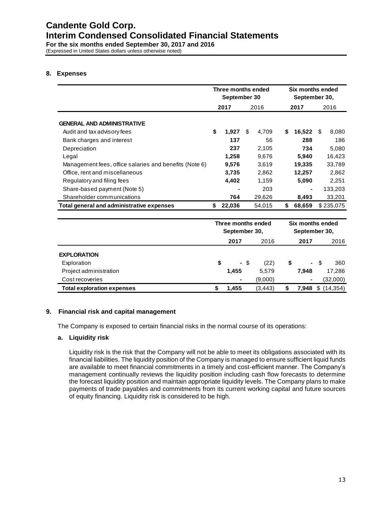# **8. Expenses**

|                                                        | Three months ended<br>September 30 |        |      |        |      | Six months ended<br>September 30, |     |           |
|--------------------------------------------------------|------------------------------------|--------|------|--------|------|-----------------------------------|-----|-----------|
|                                                        | 2017                               |        | 2016 |        | 2017 |                                   |     | 2016      |
| <b>GENERAL AND ADMINISTRATIVE</b>                      |                                    |        |      |        |      |                                   |     |           |
| Audit and tax advisory fees                            | \$                                 | 1,927  | \$.  | 4,709  | \$   | 16,522                            | \$. | 8,080     |
| Bank charges and interest                              |                                    | 137    |      | 56     |      | 288                               |     | 186       |
| Depreciation                                           |                                    | 237    |      | 2.105  |      | 734                               |     | 5.080     |
| Legal                                                  |                                    | 1.258  |      | 9,676  |      | 5,940                             |     | 16,423    |
| Management fees, office salaries and benefits (Note 6) |                                    | 9,576  |      | 3,619  |      | 19,335                            |     | 33,789    |
| Office, rent and miscellaneous                         |                                    | 3,735  |      | 2,862  |      | 12,257                            |     | 2,862     |
| Regulatory and filing fees                             |                                    | 4,402  |      | 1,159  |      | 5,090                             |     | 2,251     |
| Share-based payment (Note 5)                           |                                    |        |      | 203    |      | -                                 |     | 133,203   |
| Shareholder communications                             |                                    | 764    |      | 29,626 |      | 8,493                             |     | 33,201    |
| Total general and administrative expenses              | \$                                 | 22,036 |      | 54,015 | S    | 68,659                            |     | \$235,075 |

|                                   | Three months ended<br>September 30, |                |      |          | Six months ended<br>September 30, |                |    |           |
|-----------------------------------|-------------------------------------|----------------|------|----------|-----------------------------------|----------------|----|-----------|
|                                   |                                     | 2017           |      | 2016     |                                   | 2017           |    | 2016      |
| <b>EXPLORATION</b>                |                                     |                |      |          |                                   |                |    |           |
| Exploration                       | \$                                  |                | - \$ | (22)     | \$                                | $\blacksquare$ | -S | 360       |
| Project administration            |                                     | 1,455          |      | 5,579    |                                   | 7.948          |    | 17,286    |
| Cost recoveries                   |                                     | $\blacksquare$ |      | (9,000)  |                                   | ٠              |    | (32,000)  |
| <b>Total exploration expenses</b> |                                     | 1,455          |      | (3, 443) |                                   | 7.948          | \$ | (14, 354) |

## **9. Financial risk and capital management**

The Company is exposed to certain financial risks in the normal course of its operations:

# **a. Liquidity risk**

Liquidity risk is the risk that the Company will not be able to meet its obligations associated with its financial liabilities. The liquidity position of the Company is managed to ensure sufficient liquid funds are available to meet financial commitments in a timely and cost-efficient manner. The Company's management continually reviews the liquidity position including cash flow forecasts to determine the forecast liquidity position and maintain appropriate liquidity levels. The Company plans to make payments of trade payables and commitments from its current working capital and future sources of equity financing. Liquidity risk is considered to be high.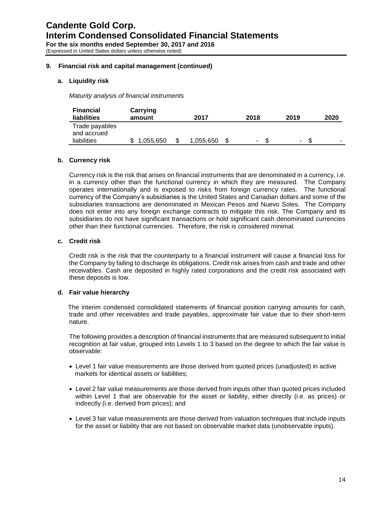## **9. Financial risk and capital management (continued)**

## **a. Liquidity risk**

*Maturity analysis of financial instruments*

| <b>Financial</b><br><b>liabilities</b>       | Carrying<br>amount | 2017      | 2018   | 2019                     | 2020 |
|----------------------------------------------|--------------------|-----------|--------|--------------------------|------|
| Trade payables<br>and accrued<br>liabilities | .055.650           | 1,055,650 | $\sim$ | $\overline{\phantom{a}}$ | -    |

## **b. Currency risk**

Currency risk is the risk that arises on financial instruments that are denominated in a currency, i.e. in a currency other than the functional currency in which they are measured. The Company operates internationally and is exposed to risks from foreign currency rates. The functional currency of the Company's subsidiaries is the United States and Canadian dollars and some of the subsidiaries transactions are denominated in Mexican Pesos and Nuevo Soles. The Company does not enter into any foreign exchange contracts to mitigate this risk. The Company and its subsidiaries do not have significant transactions or hold significant cash denominated currencies other than their functional currencies. Therefore, the risk is considered minimal.

#### **c. Credit risk**

Credit risk is the risk that the counterparty to a financial instrument will cause a financial loss for the Company by failing to discharge its obligations. Credit risk arises from cash and trade and other receivables. Cash are deposited in highly rated corporations and the credit risk associated with these deposits is low.

#### **d. Fair value hierarchy**

The interim condensed consolidated statements of financial position carrying amounts for cash, trade and other receivables and trade payables, approximate fair value due to their short-term nature.

The following provides a description of financial instruments that are measured subsequent to initial recognition at fair value, grouped into Levels 1 to 3 based on the degree to which the fair value is observable:

- Level 1 fair value measurements are those derived from quoted prices (unadjusted) in active markets for identical assets or liabilities;
- Level 2 fair value measurements are those derived from inputs other than quoted prices included within Level 1 that are observable for the asset or liability, either directly (i.e. as prices) or indirectly (i.e. derived from prices); and
- Level 3 fair value measurements are those derived from valuation techniques that include inputs for the asset or liability that are not based on observable market data (unobservable inputs).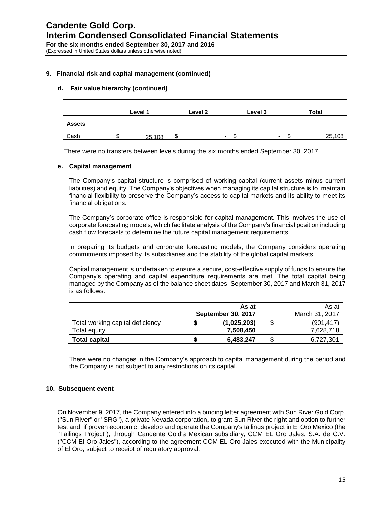## **9. Financial risk and capital management (continued)**

## **d. Fair value hierarchy (continued)**

|               |    | Level 1 | Level 2 |                          | Level 3 |    | Total  |
|---------------|----|---------|---------|--------------------------|---------|----|--------|
| <b>Assets</b> |    |         |         |                          |         |    |        |
| Cash          | S. | 25,108  | \$      | $\overline{\phantom{0}}$ |         | £. | 25,108 |

There were no transfers between levels during the six months ended September 30, 2017.

#### **e. Capital management**

The Company's capital structure is comprised of working capital (current assets minus current liabilities) and equity. The Company's objectives when managing its capital structure is to, maintain financial flexibility to preserve the Company's access to capital markets and its ability to meet its financial obligations.

The Company's corporate office is responsible for capital management. This involves the use of corporate forecasting models, which facilitate analysis of the Company's financial position including cash flow forecasts to determine the future capital management requirements.

In preparing its budgets and corporate forecasting models, the Company considers operating commitments imposed by its subsidiaries and the stability of the global capital markets

Capital management is undertaken to ensure a secure, cost-effective supply of funds to ensure the Company's operating and capital expenditure requirements are met. The total capital being managed by the Company as of the balance sheet dates, September 30, 2017 and March 31, 2017 is as follows:

|                                                  |   | As at<br><b>September 30, 2017</b> | As at<br>March 31, 2017 |                         |  |
|--------------------------------------------------|---|------------------------------------|-------------------------|-------------------------|--|
| Total working capital deficiency<br>Total equity |   | (1,025,203)<br>7.508.450           |                         | (901, 417)<br>7,628,718 |  |
| <b>Total capital</b>                             | э | 6,483,247                          |                         | 6,727,301               |  |

There were no changes in the Company's approach to capital management during the period and the Company is not subject to any restrictions on its capital.

## **10. Subsequent event**

On November 9, 2017, the Company entered into a binding letter agreement with Sun River Gold Corp. ("Sun River" or "SRG"), a private Nevada corporation, to grant Sun River the right and option to further test and, if proven economic, develop and operate the Company's tailings project in El Oro Mexico (the "Tailings Project"), through Candente Gold's Mexican subsidiary, CCM EL Oro Jales, S.A. de C.V. ("CCM El Oro Jales"), according to the agreement CCM EL Oro Jales executed with the Municipality of El Oro, subject to receipt of regulatory approval.